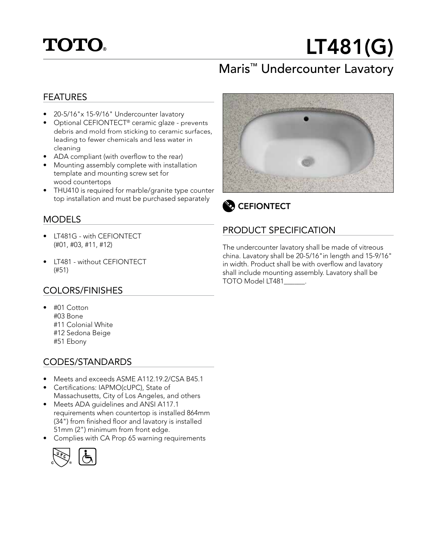

# LT481(G)

## Maris™ Undercounter Lavatory

#### FEATURES

- 20-5/16"x 15-9/16" Undercounter lavatory
- Optional CEFIONTECT® ceramic glaze prevents debris and mold from sticking to ceramic surfaces, leading to fewer chemicals and less water in cleaning
- ADA compliant (with overflow to the rear)
- Mounting assembly complete with installation template and mounting screw set for wood countertops
- THU410 is required for marble/granite type counter top installation and must be purchased separately

#### MODELS

- LT481G with CEFIONTECT (#01, #03, #11, #12)
- LT481 without CEFIONTECT (#51)

#### COLORS/FINISHES

• #01 Cotton #03 Bone #11 Colonial White #12 Sedona Beige #51 Ebony

#### CODES/STANDARDS

- Meets and exceeds ASME A112.19.2/CSA B45.1
- Certifications: IAPMO(cUPC), State of Massachusetts, City of Los Angeles, and others
- Meets ADA guidelines and ANSI A117.1 requirements when countertop is installed 864mm (34") from finished floor and lavatory is installed 51mm (2") minimum from front edge.
- Complies with CA Prop 65 warning requirements







### PRODUCT SPECIFICATION

The undercounter lavatory shall be made of vitreous china. Lavatory shall be 20-5/16"in length and 15-9/16" in width. Product shall be with overflow and lavatory shall include mounting assembly. Lavatory shall be TOTO Model LT481\_\_\_\_\_\_.